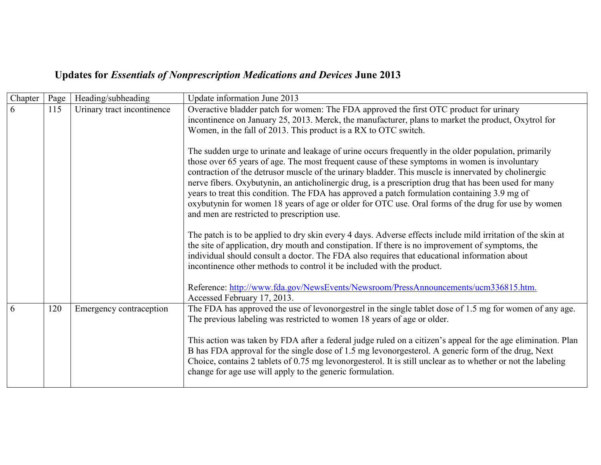## **Updates for** *Essentials of Nonprescription Medications and Devices* **June 2013**

| Chapter | Page | Heading/subheading         | Update information June 2013                                                                                                                                                                                                                                                                                                                                                                                                                                                                                                                                                                                                                                                                                                                                                                                                                                                                                                                                                                                                                                                                                                                                                                                                                                                                                                                                                                                                       |
|---------|------|----------------------------|------------------------------------------------------------------------------------------------------------------------------------------------------------------------------------------------------------------------------------------------------------------------------------------------------------------------------------------------------------------------------------------------------------------------------------------------------------------------------------------------------------------------------------------------------------------------------------------------------------------------------------------------------------------------------------------------------------------------------------------------------------------------------------------------------------------------------------------------------------------------------------------------------------------------------------------------------------------------------------------------------------------------------------------------------------------------------------------------------------------------------------------------------------------------------------------------------------------------------------------------------------------------------------------------------------------------------------------------------------------------------------------------------------------------------------|
| 6       | 115  | Urinary tract incontinence | Overactive bladder patch for women: The FDA approved the first OTC product for urinary<br>incontinence on January 25, 2013. Merck, the manufacturer, plans to market the product, Oxytrol for<br>Women, in the fall of 2013. This product is a RX to OTC switch.<br>The sudden urge to urinate and leakage of urine occurs frequently in the older population, primarily<br>those over 65 years of age. The most frequent cause of these symptoms in women is involuntary<br>contraction of the detrusor muscle of the urinary bladder. This muscle is innervated by cholinergic<br>nerve fibers. Oxybutynin, an anticholinergic drug, is a prescription drug that has been used for many<br>years to treat this condition. The FDA has approved a patch formulation containing 3.9 mg of<br>oxybutynin for women 18 years of age or older for OTC use. Oral forms of the drug for use by women<br>and men are restricted to prescription use.<br>The patch is to be applied to dry skin every 4 days. Adverse effects include mild irritation of the skin at<br>the site of application, dry mouth and constipation. If there is no improvement of symptoms, the<br>individual should consult a doctor. The FDA also requires that educational information about<br>incontinence other methods to control it be included with the product.<br>Reference: http://www.fda.gov/NewsEvents/Newsroom/PressAnnouncements/ucm336815.htm. |
|         |      |                            | Accessed February 17, 2013.                                                                                                                                                                                                                                                                                                                                                                                                                                                                                                                                                                                                                                                                                                                                                                                                                                                                                                                                                                                                                                                                                                                                                                                                                                                                                                                                                                                                        |
| 6       | 120  | Emergency contraception    | The FDA has approved the use of levonorgestrel in the single tablet dose of 1.5 mg for women of any age.<br>The previous labeling was restricted to women 18 years of age or older.<br>This action was taken by FDA after a federal judge ruled on a citizen's appeal for the age elimination. Plan<br>B has FDA approval for the single dose of 1.5 mg levonorgesterol. A generic form of the drug, Next<br>Choice, contains 2 tablets of 0.75 mg levonorgesterol. It is still unclear as to whether or not the labeling<br>change for age use will apply to the generic formulation.                                                                                                                                                                                                                                                                                                                                                                                                                                                                                                                                                                                                                                                                                                                                                                                                                                             |
|         |      |                            |                                                                                                                                                                                                                                                                                                                                                                                                                                                                                                                                                                                                                                                                                                                                                                                                                                                                                                                                                                                                                                                                                                                                                                                                                                                                                                                                                                                                                                    |